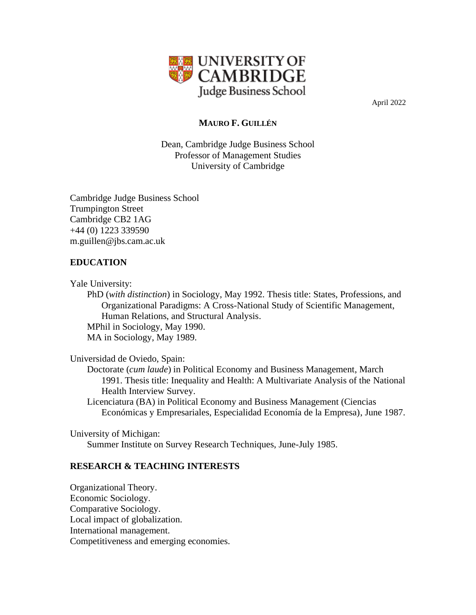

April 2022

# **MAURO F. GUILLÉN**

Dean, Cambridge Judge Business School Professor of Management Studies University of Cambridge

Cambridge Judge Business School Trumpington Street Cambridge CB2 1AG +44 (0) 1223 339590 m.guillen@jbs.cam.ac.uk

# **EDUCATION**

Yale University:

PhD (*with distinction*) in Sociology, May 1992. Thesis title: States, Professions, and Organizational Paradigms: A Cross-National Study of Scientific Management, Human Relations, and Structural Analysis. MPhil in Sociology, May 1990. MA in Sociology, May 1989.

Universidad de Oviedo, Spain:

Doctorate (*cum laude*) in Political Economy and Business Management, March 1991. Thesis title: Inequality and Health: A Multivariate Analysis of the National Health Interview Survey.

Licenciatura (BA) in Political Economy and Business Management (Ciencias Económicas y Empresariales, Especialidad Economía de la Empresa), June 1987.

University of Michigan: Summer Institute on Survey Research Techniques, June-July 1985.

# **RESEARCH & TEACHING INTERESTS**

Organizational Theory. Economic Sociology. Comparative Sociology. Local impact of globalization. International management. Competitiveness and emerging economies.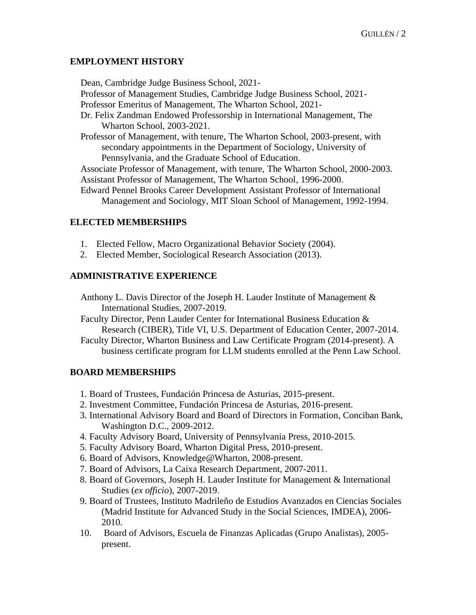# **EMPLOYMENT HISTORY**

Dean, Cambridge Judge Business School, 2021-

Professor of Management Studies, Cambridge Judge Business School, 2021-

Professor Emeritus of Management, The Wharton School, 2021-

Dr. Felix Zandman Endowed Professorship in International Management, The Wharton School, 2003-2021.

Professor of Management, with tenure, The Wharton School, 2003-present, with secondary appointments in the Department of Sociology, University of Pennsylvania, and the Graduate School of Education.

Associate Professor of Management, with tenure, The Wharton School, 2000-2003. Assistant Professor of Management, The Wharton School, 1996-2000.

Edward Pennel Brooks Career Development Assistant Professor of International Management and Sociology, MIT Sloan School of Management, 1992-1994.

# **ELECTED MEMBERSHIPS**

- 1. Elected Fellow, Macro Organizational Behavior Society (2004).
- 2. Elected Member, Sociological Research Association (2013).

# **ADMINISTRATIVE EXPERIENCE**

- Anthony L. Davis Director of the Joseph H. Lauder Institute of Management & International Studies, 2007-2019.
- Faculty Director, Penn Lauder Center for International Business Education & Research (CIBER), Title VI, U.S. Department of Education Center, 2007-2014.
- Faculty Director, Wharton Business and Law Certificate Program (2014-present). A business certificate program for LLM students enrolled at the Penn Law School.

### **BOARD MEMBERSHIPS**

- 1. Board of Trustees, Fundación Princesa de Asturias, 2015-present.
- 2. Investment Committee, Fundación Princesa de Asturias, 2016-present.
- 3. International Advisory Board and Board of Directors in Formation, Conciban Bank, Washington D.C., 2009-2012.
- 4. Faculty Advisory Board, University of Pennsylvania Press, 2010-2015.
- 5. Faculty Advisory Board, Wharton Digital Press, 2010-present.
- 6. Board of Advisors, Knowledge@Wharton, 2008-present.
- 7. Board of Advisors, La Caixa Research Department, 2007-2011.
- 8. Board of Governors, Joseph H. Lauder Institute for Management & International Studies (*ex officio*), 2007-2019.
- 9. Board of Trustees, Instituto Madrileño de Estudios Avanzados en Ciencias Sociales (Madrid Institute for Advanced Study in the Social Sciences, IMDEA), 2006- 2010.
- 10. Board of Advisors, Escuela de Finanzas Aplicadas (Grupo Analistas), 2005 present.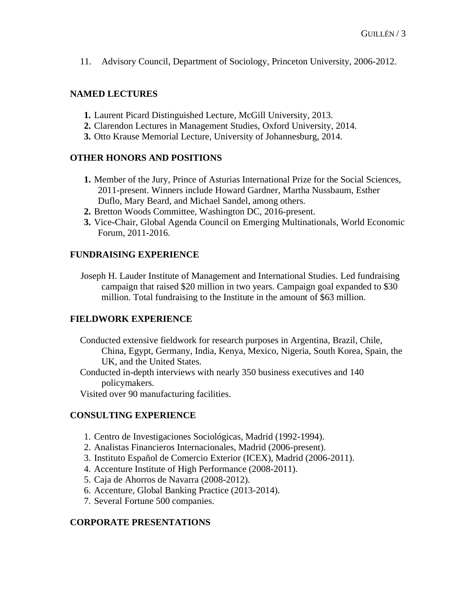11. Advisory Council, Department of Sociology, Princeton University, 2006-2012.

### **NAMED LECTURES**

- **1.** Laurent Picard Distinguished Lecture, McGill University, 2013.
- **2.** Clarendon Lectures in Management Studies, Oxford University, 2014.
- **3.** Otto Krause Memorial Lecture, University of Johannesburg, 2014.

# **OTHER HONORS AND POSITIONS**

- **1.** Member of the Jury, Prince of Asturias International Prize for the Social Sciences, 2011-present. Winners include Howard Gardner, Martha Nussbaum, Esther Duflo, Mary Beard, and Michael Sandel, among others.
- **2.** Bretton Woods Committee, Washington DC, 2016-present.
- **3.** Vice-Chair, Global Agenda Council on Emerging Multinationals, World Economic Forum, 2011-2016.

# **FUNDRAISING EXPERIENCE**

Joseph H. Lauder Institute of Management and International Studies. Led fundraising campaign that raised \$20 million in two years. Campaign goal expanded to \$30 million. Total fundraising to the Institute in the amount of \$63 million.

# **FIELDWORK EXPERIENCE**

Conducted extensive fieldwork for research purposes in Argentina, Brazil, Chile, China, Egypt, Germany, India, Kenya, Mexico, Nigeria, South Korea, Spain, the UK, and the United States.

Conducted in-depth interviews with nearly 350 business executives and 140 policymakers.

Visited over 90 manufacturing facilities.

### **CONSULTING EXPERIENCE**

- 1. Centro de Investigaciones Sociológicas, Madrid (1992-1994).
- 2. Analistas Financieros Internacionales, Madrid (2006-present).
- 3. Instituto Español de Comercio Exterior (ICEX), Madrid (2006-2011).
- 4. Accenture Institute of High Performance (2008-2011).
- 5. Caja de Ahorros de Navarra (2008-2012).
- 6. Accenture, Global Banking Practice (2013-2014).
- 7. Several Fortune 500 companies.

### **CORPORATE PRESENTATIONS**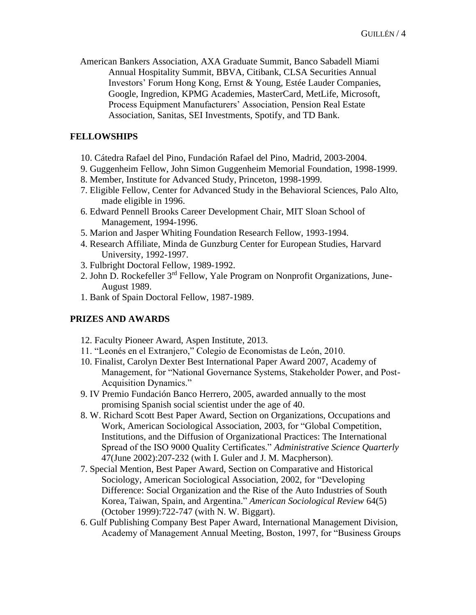American Bankers Association, AXA Graduate Summit, Banco Sabadell Miami Annual Hospitality Summit, BBVA, Citibank, CLSA Securities Annual Investors' Forum Hong Kong, Ernst & Young, Estée Lauder Companies, Google, Ingredion, KPMG Academies, MasterCard, MetLife, Microsoft, Process Equipment Manufacturers' Association, Pension Real Estate Association, Sanitas, SEI Investments, Spotify, and TD Bank.

### **FELLOWSHIPS**

- 10. Cátedra Rafael del Pino, Fundación Rafael del Pino, Madrid, 2003-2004.
- 9. Guggenheim Fellow, John Simon Guggenheim Memorial Foundation, 1998-1999.
- 8. Member, Institute for Advanced Study, Princeton, 1998-1999.
- 7. Eligible Fellow, Center for Advanced Study in the Behavioral Sciences, Palo Alto, made eligible in 1996.
- 6. Edward Pennell Brooks Career Development Chair, MIT Sloan School of Management, 1994-1996.
- 5. Marion and Jasper Whiting Foundation Research Fellow, 1993-1994.
- 4. Research Affiliate, Minda de Gunzburg Center for European Studies, Harvard University, 1992-1997.
- 3. Fulbright Doctoral Fellow, 1989-1992.
- 2. John D. Rockefeller 3rd Fellow, Yale Program on Nonprofit Organizations, June-August 1989.
- 1. Bank of Spain Doctoral Fellow, 1987-1989.

#### **PRIZES AND AWARDS**

- 12. Faculty Pioneer Award, Aspen Institute, 2013.
- 11. "Leonés en el Extranjero," Colegio de Economistas de León, 2010.
- 10. Finalist, Carolyn Dexter Best International Paper Award 2007, Academy of Management, for "National Governance Systems, Stakeholder Power, and Post-Acquisition Dynamics."
- 9. IV Premio Fundación Banco Herrero, 2005, awarded annually to the most promising Spanish social scientist under the age of 40.
- 8. W. Richard Scott Best Paper Award, Section on Organizations, Occupations and Work, American Sociological Association, 2003, for "Global Competition, Institutions, and the Diffusion of Organizational Practices: The International Spread of the ISO 9000 Quality Certificates." *Administrative Science Quarterly* 47(June 2002):207-232 (with I. Guler and J. M. Macpherson).
- 7. Special Mention, Best Paper Award, Section on Comparative and Historical Sociology, American Sociological Association, 2002, for "Developing Difference: Social Organization and the Rise of the Auto Industries of South Korea, Taiwan, Spain, and Argentina." *American Sociological Review* 64(5) (October 1999):722-747 (with N. W. Biggart).
- 6. Gulf Publishing Company Best Paper Award, International Management Division, Academy of Management Annual Meeting, Boston, 1997, for "Business Groups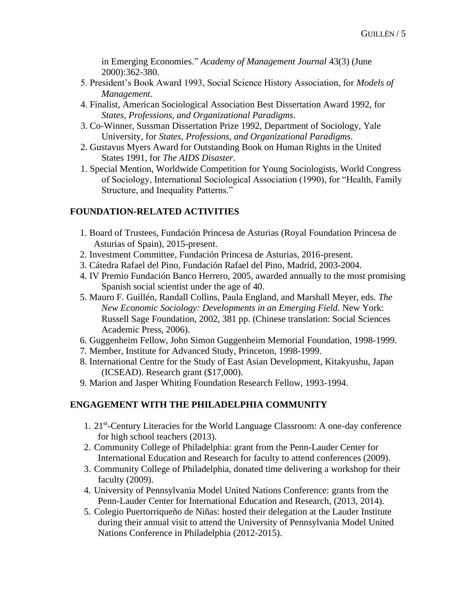in Emerging Economies." *Academy of Management Journal* 43(3) (June 2000):362-380.

- 5. President's Book Award 1993, Social Science History Association, for *Models of Management*.
- 4. Finalist, American Sociological Association Best Dissertation Award 1992, for *States, Professions, and Organizational Paradigms*.
- 3. Co-Winner, Sussman Dissertation Prize 1992, Department of Sociology, Yale University, for *States, Professions, and Organizational Paradigms*.
- 2. Gustavus Myers Award for Outstanding Book on Human Rights in the United States 1991, for *The AIDS Disaster*.
- 1. Special Mention, Worldwide Competition for Young Sociologists, World Congress of Sociology, International Sociological Association (1990), for "Health, Family Structure, and Inequality Patterns."

# **FOUNDATION-RELATED ACTIVITIES**

- 1. Board of Trustees, Fundación Princesa de Asturias (Royal Foundation Princesa de Asturias of Spain), 2015-present.
- 2. Investment Committee, Fundación Princesa de Asturias, 2016-present.
- 3. Cátedra Rafael del Pino, Fundación Rafael del Pino, Madrid, 2003-2004.
- 4. IV Premio Fundación Banco Herrero, 2005, awarded annually to the most promising Spanish social scientist under the age of 40.
- 5. Mauro F. Guillén, Randall Collins, Paula England, and Marshall Meyer, eds. *The New Economic Sociology: Developments in an Emerging Field.* New York: Russell Sage Foundation, 2002, 381 pp. (Chinese translation: Social Sciences Academic Press, 2006).
- 6. Guggenheim Fellow, John Simon Guggenheim Memorial Foundation, 1998-1999.
- 7. Member, Institute for Advanced Study, Princeton, 1998-1999.
- 8. International Centre for the Study of East Asian Development, Kitakyushu, Japan (ICSEAD). Research grant (\$17,000).
- 9. Marion and Jasper Whiting Foundation Research Fellow, 1993-1994.

### **ENGAGEMENT WITH THE PHILADELPHIA COMMUNITY**

- 1. 21<sup>st</sup>-Century Literacies for the World Language Classroom: A one-day conference for high school teachers (2013).
- 2. Community College of Philadelphia: grant from the Penn-Lauder Center for International Education and Research for faculty to attend conferences (2009).
- 3. Community College of Philadelphia, donated time delivering a workshop for their faculty (2009).
- 4. University of Pennsylvania Model United Nations Conference: grants from the Penn-Lauder Center for International Education and Research, (2013, 2014).
- 5. Colegio Puertorriqueño de Niñas: hosted their delegation at the Lauder Institute during their annual visit to attend the University of Pennsylvania Model United Nations Conference in Philadelphia (2012-2015).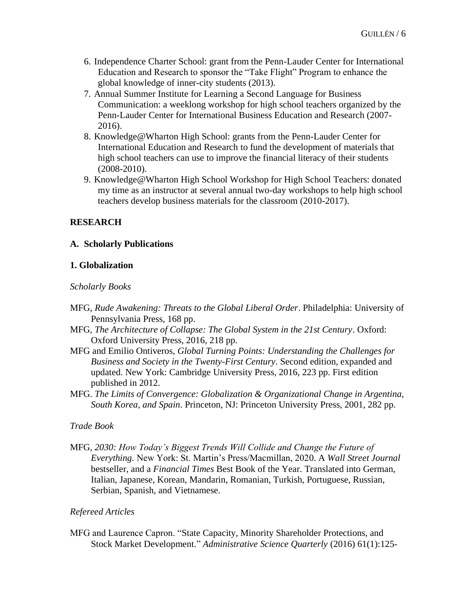- 6. Independence Charter School: grant from the Penn-Lauder Center for International Education and Research to sponsor the "Take Flight" Program to enhance the global knowledge of inner-city students (2013).
- 7. Annual Summer Institute for Learning a Second Language for Business Communication: a weeklong workshop for high school teachers organized by the Penn-Lauder Center for International Business Education and Research (2007- 2016).
- 8. Knowledge@Wharton High School: grants from the Penn-Lauder Center for International Education and Research to fund the development of materials that high school teachers can use to improve the financial literacy of their students (2008-2010).
- 9. Knowledge@Wharton High School Workshop for High School Teachers: donated my time as an instructor at several annual two-day workshops to help high school teachers develop business materials for the classroom (2010-2017).

# **RESEARCH**

### **A. Scholarly Publications**

#### **1. Globalization**

#### *Scholarly Books*

- MFG, *Rude Awakening: Threats to the Global Liberal Order*. Philadelphia: University of Pennsylvania Press, 168 pp.
- MFG, *The Architecture of Collapse: The Global System in the 21st Century*. Oxford: Oxford University Press, 2016, 218 pp.
- MFG and Emilio Ontiveros, *Global Turning Points: Understanding the Challenges for Business and Society in the Twenty-First Century*. Second edition, expanded and updated. New York: Cambridge University Press, 2016, 223 pp. First edition published in 2012.
- MFG. *The Limits of Convergence: Globalization & Organizational Change in Argentina, South Korea, and Spain*. Princeton, NJ: Princeton University Press, 2001, 282 pp.

### *Trade Book*

MFG, *2030: How Today's Biggest Trends Will Collide and Change the Future of Everything.* New York: St. Martin's Press/Macmillan, 2020. A *Wall Street Journal*  bestseller, and a *Financial Times* Best Book of the Year. Translated into German, Italian, Japanese, Korean, Mandarin, Romanian, Turkish, Portuguese, Russian, Serbian, Spanish, and Vietnamese.

### *Refereed Articles*

MFG and Laurence Capron. "State Capacity, Minority Shareholder Protections, and Stock Market Development." *Administrative Science Quarterly* (2016) 61(1):125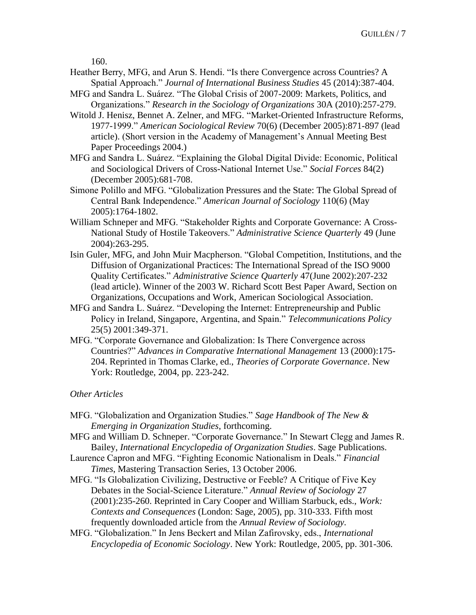160.

- Heather Berry, MFG, and Arun S. Hendi. "Is there Convergence across Countries? A Spatial Approach." *Journal of International Business Studies* 45 (2014):387-404.
- MFG and Sandra L. Suárez. "The Global Crisis of 2007-2009: Markets, Politics, and Organizations." *Research in the Sociology of Organizations* 30A (2010):257-279.
- Witold J. Henisz, Bennet A. Zelner, and MFG. "Market-Oriented Infrastructure Reforms, 1977-1999." *American Sociological Review* 70(6) (December 2005):871-897 (lead article). (Short version in the Academy of Management's Annual Meeting Best Paper Proceedings 2004.)
- MFG and Sandra L. Suárez. "Explaining the Global Digital Divide: Economic, Political and Sociological Drivers of Cross-National Internet Use." *Social Forces* 84(2) (December 2005):681-708.
- Simone Polillo and MFG. "Globalization Pressures and the State: The Global Spread of Central Bank Independence." *American Journal of Sociology* 110(6) (May 2005):1764-1802.
- William Schneper and MFG. "Stakeholder Rights and Corporate Governance: A Cross-National Study of Hostile Takeovers." *Administrative Science Quarterly* 49 (June 2004):263-295.
- Isin Guler, MFG, and John Muir Macpherson. "Global Competition, Institutions, and the Diffusion of Organizational Practices: The International Spread of the ISO 9000 Quality Certificates." *Administrative Science Quarterly* 47(June 2002):207-232 (lead article). Winner of the 2003 W. Richard Scott Best Paper Award, Section on Organizations, Occupations and Work, American Sociological Association.
- MFG and Sandra L. Suárez. "Developing the Internet: Entrepreneurship and Public Policy in Ireland, Singapore, Argentina, and Spain." *Telecommunications Policy* 25(5) 2001:349-371.
- MFG. "Corporate Governance and Globalization: Is There Convergence across Countries?" *Advances in Comparative International Management* 13 (2000):175- 204. Reprinted in Thomas Clarke, ed., *Theories of Corporate Governance*. New York: Routledge, 2004, pp. 223-242.

### *Other Articles*

- MFG. "Globalization and Organization Studies." *Sage Handbook of The New & Emerging in Organization Studies*, forthcoming.
- MFG and William D. Schneper. "Corporate Governance." In Stewart Clegg and James R. Bailey, *International Encyclopedia of Organization Studies*. Sage Publications.
- Laurence Capron and MFG. "Fighting Economic Nationalism in Deals." *Financial Times*, Mastering Transaction Series, 13 October 2006.
- MFG. "Is Globalization Civilizing, Destructive or Feeble? A Critique of Five Key Debates in the Social-Science Literature." *Annual Review of Sociology* 27 (2001):235-260. Reprinted in Cary Cooper and William Starbuck, eds., *Work: Contexts and Consequences* (London: Sage, 2005), pp. 310-333. Fifth most frequently downloaded article from the *Annual Review of Sociology.*
- MFG. "Globalization." In Jens Beckert and Milan Zafirovsky, eds., *International Encyclopedia of Economic Sociology*. New York: Routledge, 2005, pp. 301-306.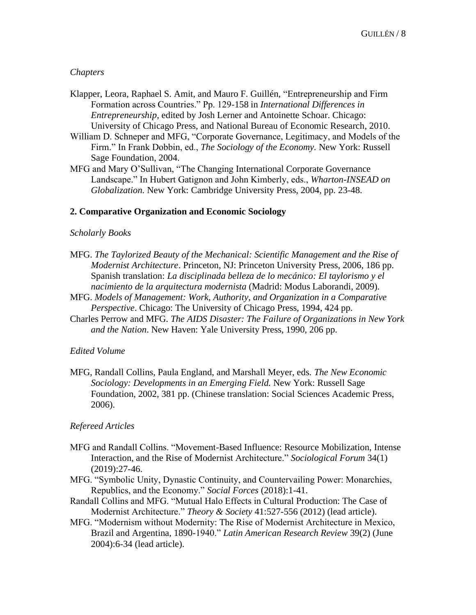### *Chapters*

- Klapper, Leora, Raphael S. Amit, and Mauro F. Guillén, "Entrepreneurship and Firm Formation across Countries." Pp. 129-158 in *International Differences in Entrepreneurship*, edited by Josh Lerner and Antoinette Schoar. Chicago: University of Chicago Press, and National Bureau of Economic Research, 2010.
- William D. Schneper and MFG, "Corporate Governance, Legitimacy, and Models of the Firm." In Frank Dobbin, ed., *The Sociology of the Economy.* New York: Russell Sage Foundation, 2004.
- MFG and Mary O'Sullivan, "The Changing International Corporate Governance Landscape." In Hubert Gatignon and John Kimberly, eds., *Wharton-INSEAD on Globalization.* New York: Cambridge University Press, 2004, pp. 23-48.

#### **2. Comparative Organization and Economic Sociology**

#### *Scholarly Books*

- MFG. *The Taylorized Beauty of the Mechanical: Scientific Management and the Rise of Modernist Architecture*. Princeton, NJ: Princeton University Press, 2006, 186 pp. Spanish translation: *La disciplinada belleza de lo mecánico: El taylorismo y el nacimiento de la arquitectura modernista* (Madrid: Modus Laborandi, 2009).
- MFG. *Models of Management: Work, Authority, and Organization in a Comparative Perspective*. Chicago: The University of Chicago Press, 1994, 424 pp.
- Charles Perrow and MFG. *The AIDS Disaster: The Failure of Organizations in New York and the Nation*. New Haven: Yale University Press, 1990, 206 pp.

#### *Edited Volume*

MFG, Randall Collins, Paula England, and Marshall Meyer, eds. *The New Economic Sociology: Developments in an Emerging Field.* New York: Russell Sage Foundation, 2002, 381 pp. (Chinese translation: Social Sciences Academic Press, 2006).

#### *Refereed Articles*

- MFG and Randall Collins. "Movement-Based Influence: Resource Mobilization, Intense Interaction, and the Rise of Modernist Architecture." *Sociological Forum* 34(1) (2019):27-46.
- MFG. "Symbolic Unity, Dynastic Continuity, and Countervailing Power: Monarchies, Republics, and the Economy." *Social Forces* (2018):1-41.
- Randall Collins and MFG. "Mutual Halo Effects in Cultural Production: The Case of Modernist Architecture." *Theory & Society* 41:527-556 (2012) (lead article).
- MFG. "Modernism without Modernity: The Rise of Modernist Architecture in Mexico, Brazil and Argentina, 1890-1940." *Latin American Research Review* 39(2) (June 2004):6-34 (lead article).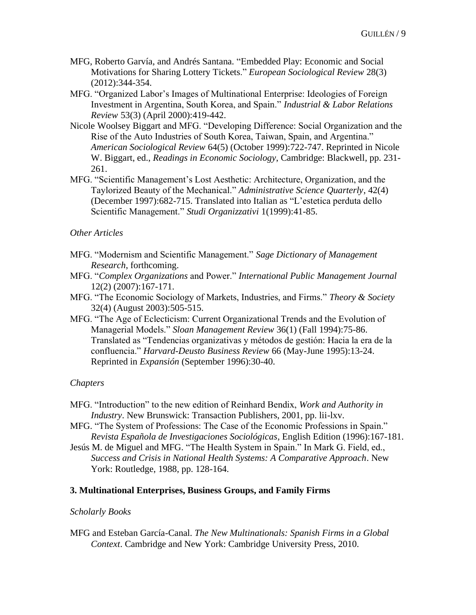- MFG, Roberto Garvía, and Andrés Santana. "Embedded Play: Economic and Social Motivations for Sharing Lottery Tickets." *European Sociological Review* 28(3) (2012):344-354.
- MFG. "Organized Labor's Images of Multinational Enterprise: Ideologies of Foreign Investment in Argentina, South Korea, and Spain." *Industrial & Labor Relations Review* 53(3) (April 2000):419-442.
- Nicole Woolsey Biggart and MFG. "Developing Difference: Social Organization and the Rise of the Auto Industries of South Korea, Taiwan, Spain, and Argentina." *American Sociological Review* 64(5) (October 1999):722-747. Reprinted in Nicole W. Biggart, ed., *Readings in Economic Sociology*, Cambridge: Blackwell, pp. 231- 261.
- MFG. "Scientific Management's Lost Aesthetic: Architecture, Organization, and the Taylorized Beauty of the Mechanical." *Administrative Science Quarterly*, 42(4) (December 1997):682-715. Translated into Italian as "L'estetica perduta dello Scientific Management." *Studi Organizzativi* 1(1999):41-85.

#### *Other Articles*

- MFG. "Modernism and Scientific Management." *Sage Dictionary of Management Research*, forthcoming.
- MFG. "*Complex Organizations* and Power." *International Public Management Journal* 12(2) (2007):167-171.
- MFG. "The Economic Sociology of Markets, Industries, and Firms." *Theory & Society* 32(4) (August 2003):505-515.
- MFG. "The Age of Eclecticism: Current Organizational Trends and the Evolution of Managerial Models." *Sloan Management Review* 36(1) (Fall 1994):75-86. Translated as "Tendencias organizativas y métodos de gestión: Hacia la era de la confluencia." *Harvard-Deusto Business Review* 66 (May-June 1995):13-24. Reprinted in *Expansión* (September 1996):30-40.

#### *Chapters*

- MFG. "Introduction" to the new edition of Reinhard Bendix, *Work and Authority in Industry*. New Brunswick: Transaction Publishers, 2001, pp. lii-lxv.
- MFG. "The System of Professions: The Case of the Economic Professions in Spain." *Revista Española de Investigaciones Sociológicas*, English Edition (1996):167-181.
- Jesús M. de Miguel and MFG. "The Health System in Spain." In Mark G. Field, ed., *Success and Crisis in National Health Systems: A Comparative Approach*. New York: Routledge, 1988, pp. 128-164.

#### **3. Multinational Enterprises, Business Groups, and Family Firms**

#### *Scholarly Books*

MFG and Esteban García-Canal. *The New Multinationals: Spanish Firms in a Global Context*. Cambridge and New York: Cambridge University Press, 2010.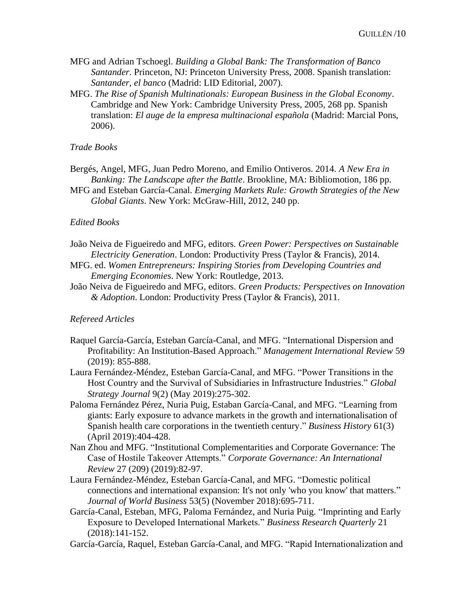- MFG and Adrian Tschoegl. *Building a Global Bank: The Transformation of Banco Santander*. Princeton, NJ: Princeton University Press, 2008. Spanish translation: *Santander, el banco* (Madrid: LID Editorial, 2007).
- MFG. *The Rise of Spanish Multinationals: European Business in the Global Economy*. Cambridge and New York: Cambridge University Press, 2005, 268 pp. Spanish translation: *El auge de la empresa multinacional española* (Madrid: Marcial Pons, 2006).

#### *Trade Books*

- Bergés, Angel, MFG, Juan Pedro Moreno, and Emilio Ontiveros. 2014. *A New Era in Banking: The Landscape after the Battle*. Brookline, MA: Bibliomotion, 186 pp.
- MFG and Esteban García-Canal. *Emerging Markets Rule: Growth Strategies of the New Global Giants*. New York: McGraw-Hill, 2012, 240 pp.

#### *Edited Books*

- João Neiva de Figueiredo and MFG, editors. *Green Power: Perspectives on Sustainable Electricity Generation*. London: Productivity Press (Taylor & Francis), 2014.
- MFG. ed. *Women Entrepreneurs: Inspiring Stories from Developing Countries and Emerging Economies*. New York: Routledge, 2013.
- João Neiva de Figueiredo and MFG, editors. *Green Products: Perspectives on Innovation & Adoption*. London: Productivity Press (Taylor & Francis), 2011.

#### *Refereed Articles*

- Raquel García-García, Esteban García-Canal, and MFG. "International Dispersion and Profitability: An Institution-Based Approach." *Management International Review* 59 (2019): 855-888.
- Laura Fernández-Méndez, Esteban García-Canal, and MFG. "Power Transitions in the Host Country and the Survival of Subsidiaries in Infrastructure Industries." *Global Strategy Journal* 9(2) (May 2019):275-302.
- Paloma Fernández Pérez, Nuria Puig, Estaban García-Canal, and MFG. "Learning from giants: Early exposure to advance markets in the growth and internationalisation of Spanish health care corporations in the twentieth century." *Business History* 61(3) (April 2019):404-428.
- Nan Zhou and MFG. "Institutional Complementarities and Corporate Governance: The Case of Hostile Takeover Attempts." *Corporate Governance: An International Review* 27 (209) (2019):82-97.
- Laura Fernández-Méndez, Esteban García-Canal, and MFG. "Domestic political connections and international expansion: It's not only 'who you know' that matters." *Journal of World Business* 53(5) (November 2018):695-711.
- García-Canal, Esteban, MFG, Paloma Fernández, and Nuria Puig. "Imprinting and Early Exposure to Developed International Markets." *Business Research Quarterly* 21 (2018):141-152.
- García-García, Raquel, Esteban García-Canal, and MFG. "Rapid Internationalization and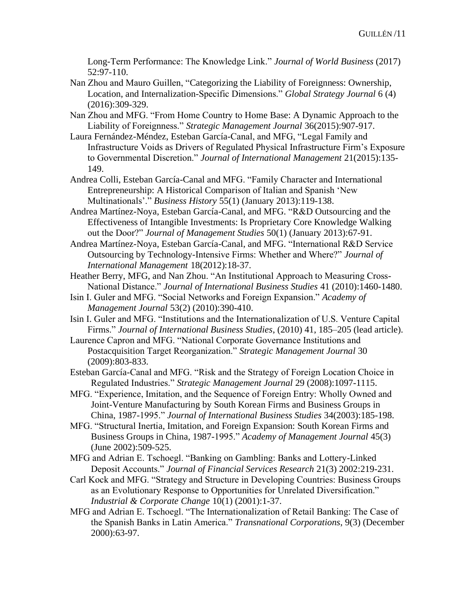Long-Term Performance: The Knowledge Link." *Journal of World Business* (2017) 52:97-110.

- Nan Zhou and Mauro Guillen, "Categorizing the Liability of Foreignness: Ownership, Location, and Internalization-Specific Dimensions." *Global Strategy Journal* 6 (4) (2016):309-329.
- Nan Zhou and MFG. "From Home Country to Home Base: A Dynamic Approach to the Liability of Foreignness." *Strategic Management Journal* 36(2015):907-917.
- Laura Fernández-Méndez, Esteban García-Canal, and MFG, "Legal Family and Infrastructure Voids as Drivers of Regulated Physical Infrastructure Firm's Exposure to Governmental Discretion." *Journal of International Management* 21(2015):135- 149.
- Andrea Colli, Esteban García-Canal and MFG. "Family Character and International Entrepreneurship: A Historical Comparison of Italian and Spanish 'New Multinationals'." *Business History* 55(1) (January 2013):119-138.
- Andrea Martínez-Noya, Esteban García-Canal, and MFG. "R&D Outsourcing and the Effectiveness of Intangible Investments: Is Proprietary Core Knowledge Walking out the Door?" *Journal of Management Studies* 50(1) (January 2013):67-91.
- Andrea Martínez-Noya, Esteban García-Canal, and MFG. "International R&D Service Outsourcing by Technology-Intensive Firms: Whether and Where?" *Journal of International Management* 18(2012):18-37.
- Heather Berry, MFG, and Nan Zhou. "An Institutional Approach to Measuring Cross-National Distance." *Journal of International Business Studies* 41 (2010):1460-1480.
- Isin I. Guler and MFG. "Social Networks and Foreign Expansion." *Academy of Management Journal* 53(2) (2010):390-410.
- Isin I. Guler and MFG. "Institutions and the Internationalization of U.S. Venture Capital Firms." *Journal of International Business Studies*, (2010) 41, 185–205 (lead article).
- Laurence Capron and MFG. "National Corporate Governance Institutions and Postacquisition Target Reorganization." *Strategic Management Journal* 30 (2009):803-833.
- Esteban García-Canal and MFG. "Risk and the Strategy of Foreign Location Choice in Regulated Industries." *Strategic Management Journal* 29 (2008):1097-1115.
- MFG. "Experience, Imitation, and the Sequence of Foreign Entry: Wholly Owned and Joint-Venture Manufacturing by South Korean Firms and Business Groups in China, 1987-1995." *Journal of International Business Studies* 34(2003):185-198.
- MFG. "Structural Inertia, Imitation, and Foreign Expansion: South Korean Firms and Business Groups in China, 1987-1995." *Academy of Management Journal* 45(3) (June 2002):509-525.
- MFG and Adrian E. Tschoegl. "Banking on Gambling: Banks and Lottery-Linked Deposit Accounts." *Journal of Financial Services Research* 21(3) 2002:219-231.
- Carl Kock and MFG. "Strategy and Structure in Developing Countries: Business Groups as an Evolutionary Response to Opportunities for Unrelated Diversification." *Industrial & Corporate Change* 10(1) (2001):1-37.
- MFG and Adrian E. Tschoegl. "The Internationalization of Retail Banking: The Case of the Spanish Banks in Latin America." *Transnational Corporations*, 9(3) (December 2000):63-97.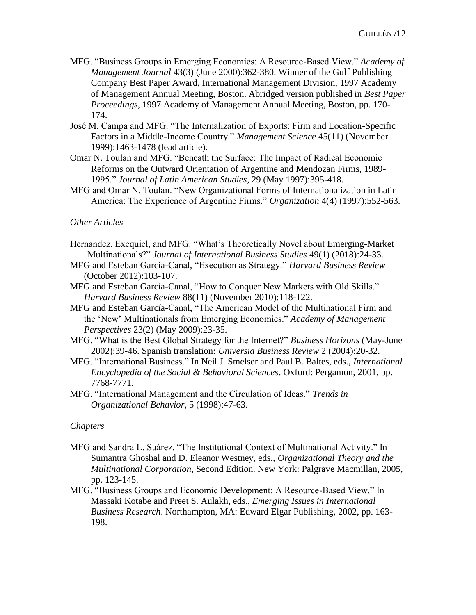- MFG. "Business Groups in Emerging Economies: A Resource-Based View." *Academy of Management Journal* 43(3) (June 2000):362-380. Winner of the Gulf Publishing Company Best Paper Award, International Management Division, 1997 Academy of Management Annual Meeting, Boston. Abridged version published in *Best Paper Proceedings*, 1997 Academy of Management Annual Meeting, Boston, pp. 170- 174.
- José M. Campa and MFG. "The Internalization of Exports: Firm and Location-Specific Factors in a Middle-Income Country." *Management Science* 45(11) (November 1999):1463-1478 (lead article).
- Omar N. Toulan and MFG. "Beneath the Surface: The Impact of Radical Economic Reforms on the Outward Orientation of Argentine and Mendozan Firms, 1989- 1995." *Journal of Latin American Studies*, 29 (May 1997):395-418.
- MFG and Omar N. Toulan. "New Organizational Forms of Internationalization in Latin America: The Experience of Argentine Firms." *Organization* 4(4) (1997):552-563.

### *Other Articles*

- Hernandez, Exequiel, and MFG. "What's Theoretically Novel about Emerging-Market Multinationals?" *Journal of International Business Studies* 49(1) (2018):24-33.
- MFG and Esteban García-Canal, "Execution as Strategy." *Harvard Business Review* (October 2012):103-107.
- MFG and Esteban García-Canal, "How to Conquer New Markets with Old Skills." *Harvard Business Review* 88(11) (November 2010):118-122.
- MFG and Esteban García-Canal, "The American Model of the Multinational Firm and the 'New' Multinationals from Emerging Economies." *Academy of Management Perspectives* 23(2) (May 2009):23-35.
- MFG. "What is the Best Global Strategy for the Internet?" *Business Horizons* (May-June 2002):39-46. Spanish translation: *Universia Business Review* 2 (2004):20-32.
- MFG. "International Business." In Neil J. Smelser and Paul B. Baltes, eds., *International Encyclopedia of the Social & Behavioral Sciences*. Oxford: Pergamon, 2001, pp. 7768-7771.
- MFG. "International Management and the Circulation of Ideas." *Trends in Organizational Behavior*, 5 (1998):47-63.

#### *Chapters*

- MFG and Sandra L. Suárez. "The Institutional Context of Multinational Activity." In Sumantra Ghoshal and D. Eleanor Westney, eds., *Organizational Theory and the Multinational Corporation*, Second Edition. New York: Palgrave Macmillan, 2005, pp. 123-145.
- MFG. "Business Groups and Economic Development: A Resource-Based View." In Massaki Kotabe and Preet S. Aulakh, eds., *Emerging Issues in International Business Research*. Northampton, MA: Edward Elgar Publishing, 2002, pp. 163- 198.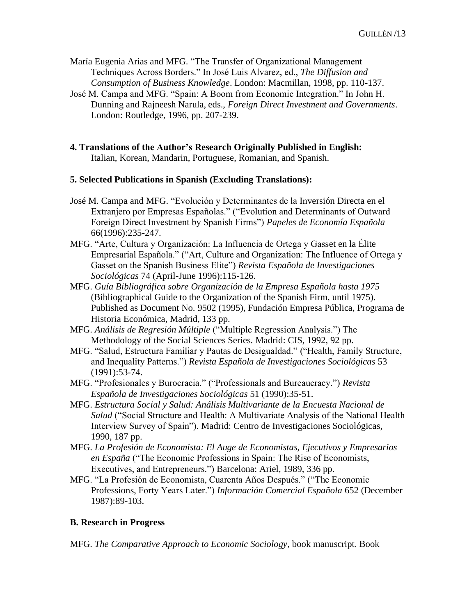María Eugenia Arias and MFG. "The Transfer of Organizational Management Techniques Across Borders." In José Luis Alvarez, ed., *The Diffusion and Consumption of Business Knowledge*. London: Macmillan, 1998, pp. 110-137.

- José M. Campa and MFG. "Spain: A Boom from Economic Integration." In John H. Dunning and Rajneesh Narula, eds., *Foreign Direct Investment and Governments*. London: Routledge, 1996, pp. 207-239.
- **4. Translations of the Author's Research Originally Published in English:** Italian, Korean, Mandarin, Portuguese, Romanian, and Spanish.

### **5. Selected Publications in Spanish (Excluding Translations):**

- José M. Campa and MFG. "Evolución y Determinantes de la Inversión Directa en el Extranjero por Empresas Españolas." ("Evolution and Determinants of Outward Foreign Direct Investment by Spanish Firms") *Papeles de Economía Española* 66(1996):235-247.
- MFG. "Arte, Cultura y Organización: La Influencia de Ortega y Gasset en la Élite Empresarial Española." ("Art, Culture and Organization: The Influence of Ortega y Gasset on the Spanish Business Elite") *Revista Española de Investigaciones Sociológicas* 74 (April-June 1996):115-126.
- MFG. *Guía Bibliográfica sobre Organización de la Empresa Española hasta 1975*  (Bibliographical Guide to the Organization of the Spanish Firm, until 1975). Published as Document No. 9502 (1995), Fundación Empresa Pública, Programa de Historia Económica, Madrid, 133 pp.
- MFG. *Análisis de Regresión Múltiple* ("Multiple Regression Analysis.") The Methodology of the Social Sciences Series. Madrid: CIS, 1992, 92 pp.
- MFG. "Salud, Estructura Familiar y Pautas de Desigualdad." ("Health, Family Structure, and Inequality Patterns.") *Revista Española de Investigaciones Sociológicas* 53 (1991):53-74.
- MFG. "Profesionales y Burocracia." ("Professionals and Bureaucracy.") *Revista Española de Investigaciones Sociológicas* 51 (1990):35-51.
- MFG. *Estructura Social y Salud: Análisis Multivariante de la Encuesta Nacional de Salud* ("Social Structure and Health: A Multivariate Analysis of the National Health Interview Survey of Spain"). Madrid: Centro de Investigaciones Sociológicas, 1990, 187 pp.
- MFG. *La Profesión de Economista: El Auge de Economistas, Ejecutivos y Empresarios en España* ("The Economic Professions in Spain: The Rise of Economists, Executives, and Entrepreneurs.") Barcelona: Ariel, 1989, 336 pp.
- MFG. "La Profesión de Economista, Cuarenta Años Después." ("The Economic Professions, Forty Years Later.") *Información Comercial Española* 652 (December 1987):89-103.

### **B. Research in Progress**

MFG. *The Comparative Approach to Economic Sociology*, book manuscript. Book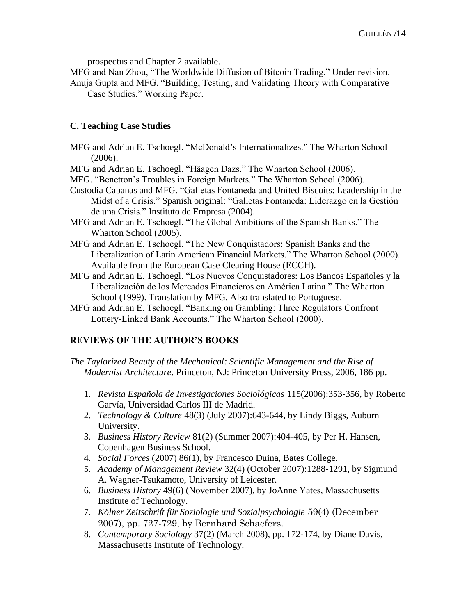prospectus and Chapter 2 available.

MFG and Nan Zhou, "The Worldwide Diffusion of Bitcoin Trading." Under revision. Anuja Gupta and MFG. "Building, Testing, and Validating Theory with Comparative

Case Studies." Working Paper.

### **C. Teaching Case Studies**

MFG and Adrian E. Tschoegl. "McDonald's Internationalizes." The Wharton School (2006).

MFG and Adrian E. Tschoegl. "Häagen Dazs." The Wharton School (2006).

MFG. "Benetton's Troubles in Foreign Markets." The Wharton School (2006).

- Custodia Cabanas and MFG. "Galletas Fontaneda and United Biscuits: Leadership in the Midst of a Crisis." Spanish original: "Galletas Fontaneda: Liderazgo en la Gestión de una Crisis." Instituto de Empresa (2004).
- MFG and Adrian E. Tschoegl. "The Global Ambitions of the Spanish Banks." The Wharton School (2005).
- MFG and Adrian E. Tschoegl. "The New Conquistadors: Spanish Banks and the Liberalization of Latin American Financial Markets." The Wharton School (2000). Available from the European Case Clearing House (ECCH).
- MFG and Adrian E. Tschoegl. "Los Nuevos Conquistadores: Los Bancos Españoles y la Liberalización de los Mercados Financieros en América Latina." The Wharton School (1999). Translation by MFG. Also translated to Portuguese.
- MFG and Adrian E. Tschoegl. "Banking on Gambling: Three Regulators Confront Lottery-Linked Bank Accounts." The Wharton School (2000).

# **REVIEWS OF THE AUTHOR'S BOOKS**

*The Taylorized Beauty of the Mechanical: Scientific Management and the Rise of Modernist Architecture*. Princeton, NJ: Princeton University Press, 2006, 186 pp.

- 1. *Revista Española de Investigaciones Sociológicas* 115(2006):353-356, by Roberto Garvía, Universidad Carlos III de Madrid.
- 2. *Technology & Culture* 48(3) (July 2007):643-644, by Lindy Biggs, Auburn University.
- 3. *Business History Review* 81(2) (Summer 2007):404-405, by Per H. Hansen, Copenhagen Business School.
- 4. *Social Forces* (2007) 86(1), by Francesco Duina, Bates College.
- 5. *Academy of Management Review* 32(4) (October 2007):1288-1291, by Sigmund A. Wagner-Tsukamoto, University of Leicester.
- 6. *Business History* 49(6) (November 2007), by JoAnne Yates, Massachusetts Institute of Technology.
- 7. *Kölner Zeitschrift für Soziologie und Sozialpsychologie* 59(4) (December 2007), pp. 727-729, by Bernhard Schaefers.
- 8. *Contemporary Sociology* 37(2) (March 2008), pp. 172-174, by Diane Davis, Massachusetts Institute of Technology.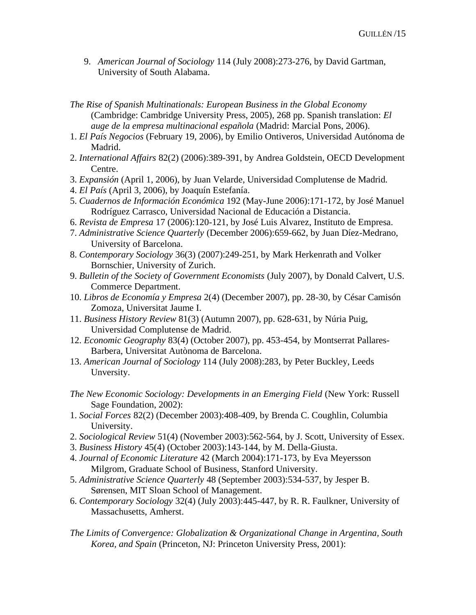- 9. *American Journal of Sociology* 114 (July 2008):273-276, by David Gartman, University of South Alabama.
- *The Rise of Spanish Multinationals: European Business in the Global Economy* (Cambridge: Cambridge University Press, 2005), 268 pp. Spanish translation: *El auge de la empresa multinacional española* (Madrid: Marcial Pons, 2006).
- 1. *El País Negocios* (February 19, 2006), by Emilio Ontiveros, Universidad Autónoma de Madrid.
- 2. *International Affairs* 82(2) (2006):389-391, by Andrea Goldstein, OECD Development Centre.
- 3. *Expansión* (April 1, 2006), by Juan Velarde, Universidad Complutense de Madrid.
- 4. *El País* (April 3, 2006), by Joaquín Estefanía.
- 5. *Cuadernos de Información Económica* 192 (May-June 2006):171-172, by José Manuel Rodríguez Carrasco, Universidad Nacional de Educación a Distancia.
- 6. *Revista de Empresa* 17 (2006):120-121, by José Luis Alvarez, Instituto de Empresa.
- 7. *Administrative Science Quarterly* (December 2006):659-662, by Juan Díez-Medrano, University of Barcelona.
- 8. *Contemporary Sociology* 36(3) (2007):249-251, by Mark Herkenrath and Volker Bornschier, University of Zurich.
- 9. *Bulletin of the Society of Government Economists* (July 2007), by Donald Calvert, U.S. Commerce Department.
- 10. *Libros de Economía y Empresa* 2(4) (December 2007), pp. 28-30, by César Camisón Zomoza, Universitat Jaume I.
- 11. *Business History Review* 81(3) (Autumn 2007), pp. 628-631, by Núria Puig, Universidad Complutense de Madrid.
- 12. *Economic Geography* 83(4) (October 2007), pp. 453-454, by Montserrat Pallares-Barbera, Universitat Autònoma de Barcelona.
- 13. *American Journal of Sociology* 114 (July 2008):283, by Peter Buckley, Leeds Unversity.
- *The New Economic Sociology: Developments in an Emerging Field* (New York: Russell Sage Foundation, 2002):
- 1. *Social Forces* 82(2) (December 2003):408-409, by Brenda C. Coughlin, Columbia University.
- 2. *Sociological Review* 51(4) (November 2003):562-564, by J. Scott, University of Essex.
- 3. *Business History* 45(4) (October 2003):143-144, by M. Della-Giusta.
- 4. *Journal of Economic Literature* 42 (March 2004):171-173, by Eva Meyersson Milgrom, Graduate School of Business, Stanford University.
- 5. *Administrative Science Quarterly* 48 (September 2003):534-537, by Jesper B. Sørensen, MIT Sloan School of Management.
- 6. *Contemporary Sociology* 32(4) (July 2003):445-447, by R. R. Faulkner, University of Massachusetts, Amherst.
- *The Limits of Convergence: Globalization & Organizational Change in Argentina, South Korea, and Spain* (Princeton, NJ: Princeton University Press, 2001):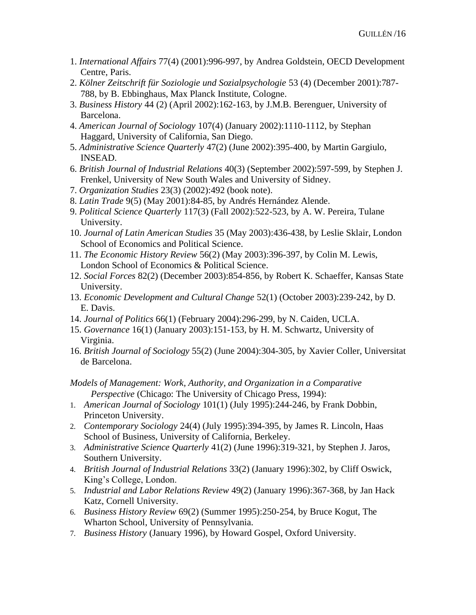- 1. *International Affairs* 77(4) (2001):996-997, by Andrea Goldstein, OECD Development Centre, Paris.
- 2. *Kölner Zeitschrift für Soziologie und Sozialpsychologie* 53 (4) (December 2001):787- 788, by B. Ebbinghaus, Max Planck Institute, Cologne.
- 3. *Business History* 44 (2) (April 2002):162-163, by J.M.B. Berenguer, University of Barcelona.
- 4. *American Journal of Sociology* 107(4) (January 2002):1110-1112, by Stephan Haggard, University of California, San Diego.
- 5. *Administrative Science Quarterly* 47(2) (June 2002):395-400, by Martin Gargiulo, INSEAD.
- 6. *British Journal of Industrial Relations* 40(3) (September 2002):597-599, by Stephen J. Frenkel, University of New South Wales and University of Sidney.
- 7. *Organization Studies* 23(3) (2002):492 (book note).
- 8. *Latin Trade* 9(5) (May 2001):84-85, by Andrés Hernández Alende.
- 9. *Political Science Quarterly* 117(3) (Fall 2002):522-523, by A. W. Pereira, Tulane University.
- 10. *Journal of Latin American Studies* 35 (May 2003):436-438, by Leslie Sklair, London School of Economics and Political Science.
- 11. *The Economic History Review* 56(2) (May 2003):396-397, by Colin M. Lewis, London School of Economics & Political Science.
- 12. *Social Forces* 82(2) (December 2003):854-856, by Robert K. Schaeffer, Kansas State University.
- 13. *Economic Development and Cultural Change* 52(1) (October 2003):239-242, by D. E. Davis.
- 14. *Journal of Politics* 66(1) (February 2004):296-299, by N. Caiden, UCLA.
- 15. *Governance* 16(1) (January 2003):151-153, by H. M. Schwartz, University of Virginia.
- 16. *British Journal of Sociology* 55(2) (June 2004):304-305, by Xavier Coller, Universitat de Barcelona.

*Models of Management: Work, Authority, and Organization in a Comparative Perspective* (Chicago: The University of Chicago Press, 1994):

- 1. *American Journal of Sociology* 101(1) (July 1995):244-246, by Frank Dobbin, Princeton University.
- 2. *Contemporary Sociology* 24(4) (July 1995):394-395, by James R. Lincoln, Haas School of Business, University of California, Berkeley.
- 3. *Administrative Science Quarterly* 41(2) (June 1996):319-321, by Stephen J. Jaros, Southern University.
- 4. *British Journal of Industrial Relations* 33(2) (January 1996):302, by Cliff Oswick, King's College, London.
- 5. *Industrial and Labor Relations Review* 49(2) (January 1996):367-368, by Jan Hack Katz, Cornell University.
- 6. *Business History Review* 69(2) (Summer 1995):250-254, by Bruce Kogut, The Wharton School, University of Pennsylvania.
- 7. *Business History* (January 1996), by Howard Gospel, Oxford University.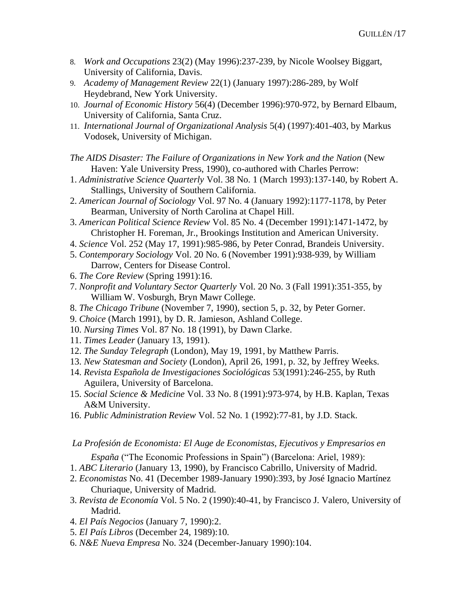- 8. *Work and Occupations* 23(2) (May 1996):237-239, by Nicole Woolsey Biggart, University of California, Davis.
- 9. *Academy of Management Review* 22(1) (January 1997):286-289, by Wolf Heydebrand, New York University.
- 10. *Journal of Economic History* 56(4) (December 1996):970-972, by Bernard Elbaum, University of California, Santa Cruz.
- 11. *International Journal of Organizational Analysis* 5(4) (1997):401-403, by Markus Vodosek, University of Michigan.
- *The AIDS Disaster: The Failure of Organizations in New York and the Nation* (New Haven: Yale University Press, 1990), co-authored with Charles Perrow:
- 1. *Administrative Science Quarterly* Vol. 38 No. 1 (March 1993):137-140, by Robert A. Stallings, University of Southern California.
- 2. *American Journal of Sociology* Vol. 97 No. 4 (January 1992):1177-1178, by Peter Bearman, University of North Carolina at Chapel Hill.
- 3. *American Political Science Review* Vol. 85 No. 4 (December 1991):1471-1472, by Christopher H. Foreman, Jr., Brookings Institution and American University.
- 4. *Science* Vol. 252 (May 17, 1991):985-986, by Peter Conrad, Brandeis University.
- 5. *Contemporary Sociology* Vol. 20 No. 6 (November 1991):938-939, by William Darrow, Centers for Disease Control.
- 6. *The Core Review* (Spring 1991):16.
- 7. *Nonprofit and Voluntary Sector Quarterly* Vol. 20 No. 3 (Fall 1991):351-355, by William W. Vosburgh, Bryn Mawr College.
- 8. *The Chicago Tribune* (November 7, 1990), section 5, p. 32, by Peter Gorner.
- 9. *Choice* (March 1991), by D. R. Jamieson, Ashland College.
- 10. *Nursing Times* Vol. 87 No. 18 (1991), by Dawn Clarke.
- 11. *Times Leader* (January 13, 1991).
- 12. *The Sunday Telegraph* (London), May 19, 1991, by Matthew Parris.
- 13. *New Statesman and Society* (London), April 26, 1991, p. 32, by Jeffrey Weeks.
- 14. *Revista Española de Investigaciones Sociológicas* 53(1991):246-255, by Ruth Aguilera, University of Barcelona.
- 15. *Social Science & Medicine* Vol. 33 No. 8 (1991):973-974, by H.B. Kaplan, Texas A&M University.
- 16. *Public Administration Review* Vol. 52 No. 1 (1992):77-81, by J.D. Stack.

#### *La Profesión de Economista: El Auge de Economistas, Ejecutivos y Empresarios en*

- *España* ("The Economic Professions in Spain") (Barcelona: Ariel, 1989):
- 1. *ABC Literario* (January 13, 1990), by Francisco Cabrillo, University of Madrid.
- 2. *Economistas* No. 41 (December 1989-January 1990):393, by José Ignacio Martínez Churiaque, University of Madrid.
- 3. *Revista de Economía* Vol. 5 No. 2 (1990):40-41, by Francisco J. Valero, University of Madrid.
- 4. *El País Negocios* (January 7, 1990):2.
- 5. *El País Libros* (December 24, 1989):10.
- 6. *N&E Nueva Empresa* No. 324 (December-January 1990):104.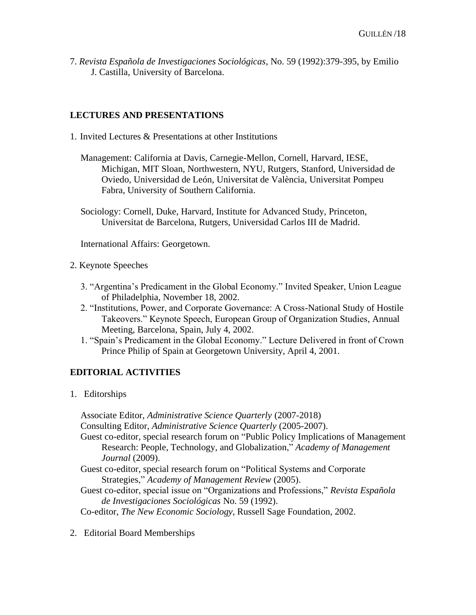7. *Revista Española de Investigaciones Sociológicas*, No. 59 (1992):379-395, by Emilio J. Castilla, University of Barcelona.

# **LECTURES AND PRESENTATIONS**

- 1. Invited Lectures & Presentations at other Institutions
	- Management: California at Davis, Carnegie-Mellon, Cornell, Harvard, IESE, Michigan, MIT Sloan, Northwestern, NYU, Rutgers, Stanford, Universidad de Oviedo, Universidad de León, Universitat de València, Universitat Pompeu Fabra, University of Southern California.
	- Sociology: Cornell, Duke, Harvard, Institute for Advanced Study, Princeton, Universitat de Barcelona, Rutgers, Universidad Carlos III de Madrid.

International Affairs: Georgetown.

- 2. Keynote Speeches
	- 3. "Argentina's Predicament in the Global Economy." Invited Speaker, Union League of Philadelphia, November 18, 2002.
	- 2. "Institutions, Power, and Corporate Governance: A Cross-National Study of Hostile Takeovers." Keynote Speech, European Group of Organization Studies, Annual Meeting, Barcelona, Spain, July 4, 2002.
	- 1. "Spain's Predicament in the Global Economy." Lecture Delivered in front of Crown Prince Philip of Spain at Georgetown University, April 4, 2001.

### **EDITORIAL ACTIVITIES**

1. Editorships

Associate Editor, *Administrative Science Quarterly* (2007-2018) Consulting Editor, *Administrative Science Quarterly* (2005-2007). Guest co-editor, special research forum on "Public Policy Implications of Management Research: People, Technology, and Globalization," *Academy of Management Journal* (2009). Guest co-editor, special research forum on "Political Systems and Corporate Strategies," *Academy of Management Review* (2005). Guest co-editor, special issue on "Organizations and Professions," *Revista Española de Investigaciones Sociológicas* No. 59 (1992). Co-editor, *The New Economic Sociology,* Russell Sage Foundation, 2002.

2. Editorial Board Memberships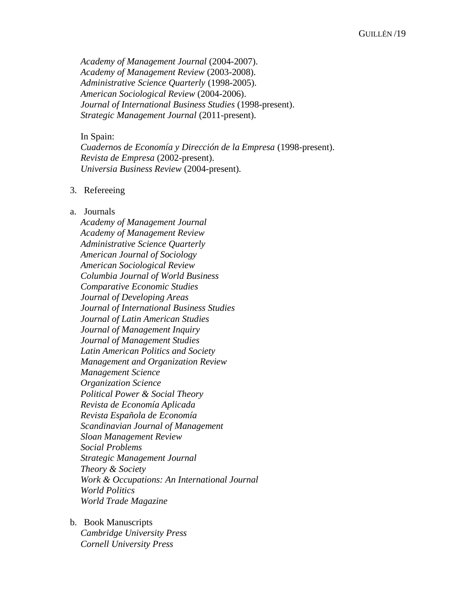*Academy of Management Journal* (2004-2007). *Academy of Management Review* (2003-2008). *Administrative Science Quarterly* (1998-2005). *American Sociological Review* (2004-2006). *Journal of International Business Studies* (1998-present). *Strategic Management Journal* (2011-present).

In Spain:

*Cuadernos de Economía y Dirección de la Empresa* (1998-present). *Revista de Empresa* (2002-present). *Universia Business Review* (2004-present).

#### 3. Refereeing

#### a. Journals

*Academy of Management Journal Academy of Management Review Administrative Science Quarterly American Journal of Sociology American Sociological Review Columbia Journal of World Business Comparative Economic Studies Journal of Developing Areas Journal of International Business Studies Journal of Latin American Studies Journal of Management Inquiry Journal of Management Studies Latin American Politics and Society Management and Organization Review Management Science Organization Science Political Power & Social Theory Revista de Economía Aplicada Revista Española de Economía Scandinavian Journal of Management Sloan Management Review Social Problems Strategic Management Journal Theory & Society Work & Occupations: An International Journal World Politics World Trade Magazine*

b. Book Manuscripts *Cambridge University Press Cornell University Press*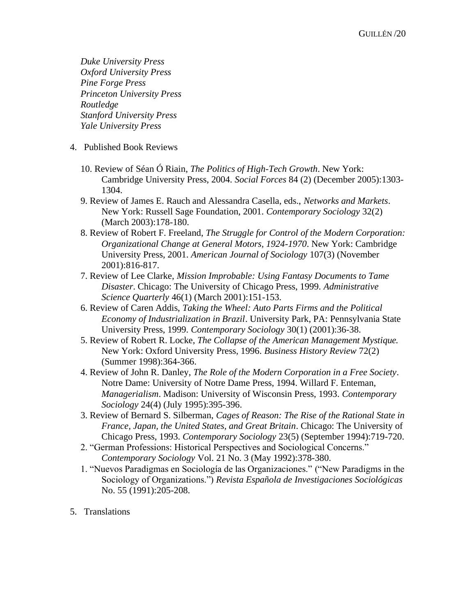*Duke University Press Oxford University Press Pine Forge Press Princeton University Press Routledge Stanford University Press Yale University Press*

- 4. Published Book Reviews
	- 10. Review of Séan Ó Riain, *The Politics of High-Tech Growth*. New York: Cambridge University Press, 2004. *Social Forces* 84 (2) (December 2005):1303- 1304.
	- 9. Review of James E. Rauch and Alessandra Casella, eds., *Networks and Markets*. New York: Russell Sage Foundation, 2001. *Contemporary Sociology* 32(2) (March 2003):178-180.
	- 8. Review of Robert F. Freeland, *The Struggle for Control of the Modern Corporation: Organizational Change at General Motors, 1924-1970*. New York: Cambridge University Press, 2001. *American Journal of Sociology* 107(3) (November 2001):816-817.
	- 7. Review of Lee Clarke, *Mission Improbable: Using Fantasy Documents to Tame Disaster*. Chicago: The University of Chicago Press, 1999. *Administrative Science Quarterly* 46(1) (March 2001):151-153.
	- 6. Review of Caren Addis, *Taking the Wheel: Auto Parts Firms and the Political Economy of Industrialization in Brazil*. University Park, PA: Pennsylvania State University Press, 1999. *Contemporary Sociology* 30(1) (2001):36-38.
	- 5. Review of Robert R. Locke, *The Collapse of the American Management Mystique.*  New York: Oxford University Press, 1996. *Business History Review* 72(2) (Summer 1998):364-366.
	- 4. Review of John R. Danley, *The Role of the Modern Corporation in a Free Society*. Notre Dame: University of Notre Dame Press, 1994. Willard F. Enteman, *Managerialism*. Madison: University of Wisconsin Press, 1993. *Contemporary Sociology* 24(4) (July 1995):395-396.
	- 3. Review of Bernard S. Silberman, *Cages of Reason: The Rise of the Rational State in France, Japan, the United States, and Great Britain*. Chicago: The University of Chicago Press, 1993. *Contemporary Sociology* 23(5) (September 1994):719-720.
	- 2. "German Professions: Historical Perspectives and Sociological Concerns." *Contemporary Sociology* Vol. 21 No. 3 (May 1992):378-380.
	- 1. "Nuevos Paradigmas en Sociología de las Organizaciones." ("New Paradigms in the Sociology of Organizations.") *Revista Española de Investigaciones Sociológicas* No. 55 (1991):205-208.
- 5. Translations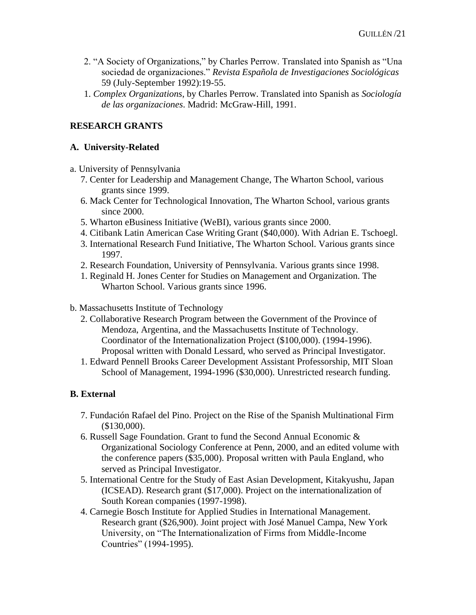- 2. "A Society of Organizations," by Charles Perrow. Translated into Spanish as "Una sociedad de organizaciones." *Revista Española de Investigaciones Sociológicas* 59 (July-September 1992):19-55.
- 1. *Complex Organizations*, by Charles Perrow. Translated into Spanish as *Sociología de las organizaciones*. Madrid: McGraw-Hill, 1991.

# **RESEARCH GRANTS**

#### **A. University-Related**

- a. University of Pennsylvania
	- 7. Center for Leadership and Management Change, The Wharton School, various grants since 1999.
	- 6. Mack Center for Technological Innovation, The Wharton School, various grants since 2000.
	- 5. Wharton eBusiness Initiative (WeBI), various grants since 2000.
	- 4. Citibank Latin American Case Writing Grant (\$40,000). With Adrian E. Tschoegl.
	- 3. International Research Fund Initiative, The Wharton School. Various grants since 1997.
	- 2. Research Foundation, University of Pennsylvania. Various grants since 1998.
	- 1. Reginald H. Jones Center for Studies on Management and Organization. The Wharton School. Various grants since 1996.

#### b. Massachusetts Institute of Technology

- 2. Collaborative Research Program between the Government of the Province of Mendoza, Argentina, and the Massachusetts Institute of Technology. Coordinator of the Internationalization Project (\$100,000). (1994-1996). Proposal written with Donald Lessard, who served as Principal Investigator.
- 1. Edward Pennell Brooks Career Development Assistant Professorship, MIT Sloan School of Management, 1994-1996 (\$30,000). Unrestricted research funding.

### **B. External**

- 7. Fundación Rafael del Pino. Project on the Rise of the Spanish Multinational Firm (\$130,000).
- 6. Russell Sage Foundation. Grant to fund the Second Annual Economic & Organizational Sociology Conference at Penn, 2000, and an edited volume with the conference papers (\$35,000). Proposal written with Paula England, who served as Principal Investigator.
- 5. International Centre for the Study of East Asian Development, Kitakyushu, Japan (ICSEAD). Research grant (\$17,000). Project on the internationalization of South Korean companies (1997-1998).
- 4. Carnegie Bosch Institute for Applied Studies in International Management. Research grant (\$26,900). Joint project with José Manuel Campa, New York University, on "The Internationalization of Firms from Middle-Income Countries" (1994-1995).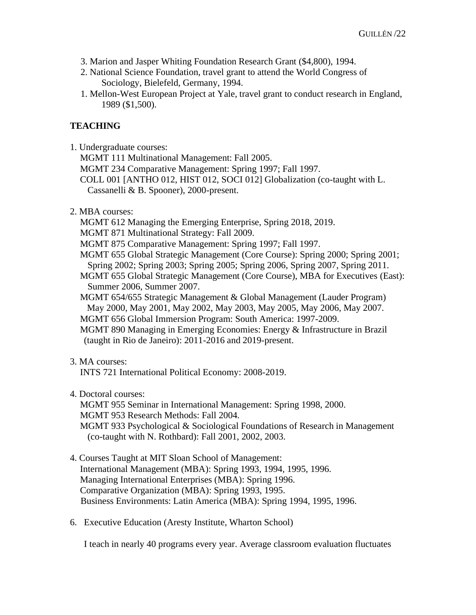- 3. Marion and Jasper Whiting Foundation Research Grant (\$4,800), 1994.
- 2. National Science Foundation, travel grant to attend the World Congress of Sociology, Bielefeld, Germany, 1994.
- 1. Mellon-West European Project at Yale, travel grant to conduct research in England, 1989 (\$1,500).

# **TEACHING**

1. Undergraduate courses:

MGMT 111 Multinational Management: Fall 2005. MGMT 234 Comparative Management: Spring 1997; Fall 1997. COLL 001 [ANTHO 012, HIST 012, SOCI 012] Globalization (co-taught with L. Cassanelli & B. Spooner), 2000-present.

#### 2. MBA courses:

MGMT 612 Managing the Emerging Enterprise, Spring 2018, 2019.

MGMT 871 Multinational Strategy: Fall 2009.

MGMT 875 Comparative Management: Spring 1997; Fall 1997.

MGMT 655 Global Strategic Management (Core Course): Spring 2000; Spring 2001; Spring 2002; Spring 2003; Spring 2005; Spring 2006, Spring 2007, Spring 2011.

MGMT 655 Global Strategic Management (Core Course), MBA for Executives (East): Summer 2006, Summer 2007.

MGMT 654/655 Strategic Management & Global Management (Lauder Program) May 2000, May 2001, May 2002, May 2003, May 2005, May 2006, May 2007.

MGMT 656 Global Immersion Program: South America: 1997-2009.

MGMT 890 Managing in Emerging Economies: Energy & Infrastructure in Brazil (taught in Rio de Janeiro): 2011-2016 and 2019-present.

### 3. MA courses:

INTS 721 International Political Economy: 2008-2019.

4. Doctoral courses:

MGMT 955 Seminar in International Management: Spring 1998, 2000. MGMT 953 Research Methods: Fall 2004. MGMT 933 Psychological & Sociological Foundations of Research in Management (co-taught with N. Rothbard): Fall 2001, 2002, 2003.

- 4. Courses Taught at MIT Sloan School of Management: International Management (MBA): Spring 1993, 1994, 1995, 1996. Managing International Enterprises (MBA): Spring 1996. Comparative Organization (MBA): Spring 1993, 1995. Business Environments: Latin America (MBA): Spring 1994, 1995, 1996.
- 6. Executive Education (Aresty Institute, Wharton School)

I teach in nearly 40 programs every year. Average classroom evaluation fluctuates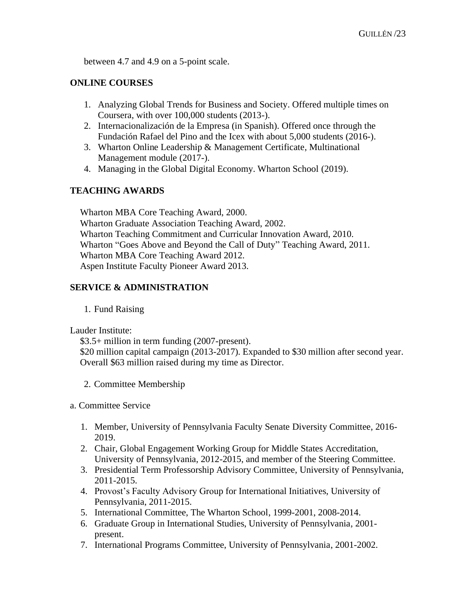between 4.7 and 4.9 on a 5-point scale.

# **ONLINE COURSES**

- 1. Analyzing Global Trends for Business and Society. Offered multiple times on Coursera, with over 100,000 students (2013-).
- 2. Internacionalización de la Empresa (in Spanish). Offered once through the Fundación Rafael del Pino and the Icex with about 5,000 students (2016-).
- 3. Wharton Online Leadership & Management Certificate, Multinational Management module (2017-).
- 4. Managing in the Global Digital Economy. Wharton School (2019).

# **TEACHING AWARDS**

Wharton MBA Core Teaching Award, 2000. Wharton Graduate Association Teaching Award, 2002. Wharton Teaching Commitment and Curricular Innovation Award, 2010. Wharton "Goes Above and Beyond the Call of Duty" Teaching Award, 2011. Wharton MBA Core Teaching Award 2012. Aspen Institute Faculty Pioneer Award 2013.

### **SERVICE & ADMINISTRATION**

1. Fund Raising

Lauder Institute:

\$3.5+ million in term funding (2007-present).

\$20 million capital campaign (2013-2017). Expanded to \$30 million after second year. Overall \$63 million raised during my time as Director.

2. Committee Membership

a. Committee Service

- 1. Member, University of Pennsylvania Faculty Senate Diversity Committee, 2016- 2019.
- 2. Chair, Global Engagement Working Group for Middle States Accreditation, University of Pennsylvania, 2012-2015, and member of the Steering Committee.
- 3. Presidential Term Professorship Advisory Committee, University of Pennsylvania, 2011-2015.
- 4. Provost's Faculty Advisory Group for International Initiatives, University of Pennsylvania, 2011-2015.
- 5. International Committee, The Wharton School, 1999-2001, 2008-2014.
- 6. Graduate Group in International Studies, University of Pennsylvania, 2001 present.
- 7. International Programs Committee, University of Pennsylvania, 2001-2002.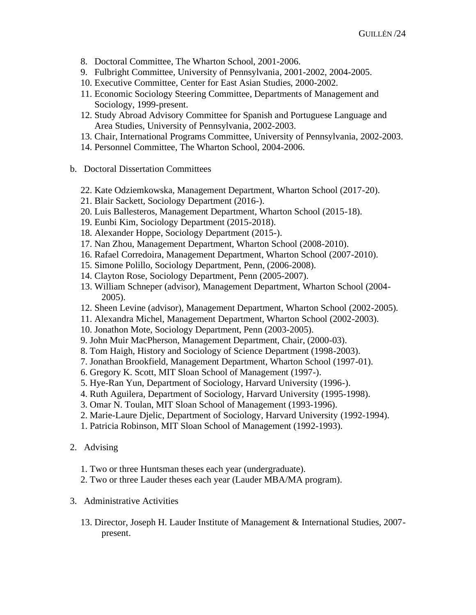- 8. Doctoral Committee, The Wharton School, 2001-2006.
- 9. Fulbright Committee, University of Pennsylvania, 2001-2002, 2004-2005.
- 10. Executive Committee, Center for East Asian Studies, 2000-2002.
- 11. Economic Sociology Steering Committee, Departments of Management and Sociology, 1999-present.
- 12. Study Abroad Advisory Committee for Spanish and Portuguese Language and Area Studies, University of Pennsylvania, 2002-2003.
- 13. Chair, International Programs Committee, University of Pennsylvania, 2002-2003.
- 14. Personnel Committee, The Wharton School, 2004-2006.
- b. Doctoral Dissertation Committees
	- 22. Kate Odziemkowska, Management Department, Wharton School (2017-20).
	- 21. Blair Sackett, Sociology Department (2016-).
	- 20. Luis Ballesteros, Management Department, Wharton School (2015-18).
	- 19. Eunbi Kim, Sociology Department (2015-2018).
	- 18. Alexander Hoppe, Sociology Department (2015-).
	- 17. Nan Zhou, Management Department, Wharton School (2008-2010).
	- 16. Rafael Corredoira, Management Department, Wharton School (2007-2010).
	- 15. Simone Polillo, Sociology Department, Penn, (2006-2008).
	- 14. Clayton Rose, Sociology Department, Penn (2005-2007).
	- 13. William Schneper (advisor), Management Department, Wharton School (2004- 2005).
	- 12. Sheen Levine (advisor), Management Department, Wharton School (2002-2005).
	- 11. Alexandra Michel, Management Department, Wharton School (2002-2003).
	- 10. Jonathon Mote, Sociology Department, Penn (2003-2005).
	- 9. John Muir MacPherson, Management Department, Chair, (2000-03).
	- 8. Tom Haigh, History and Sociology of Science Department (1998-2003).
	- 7. Jonathan Brookfield, Management Department, Wharton School (1997-01).
	- 6. Gregory K. Scott, MIT Sloan School of Management (1997-).
	- 5. Hye-Ran Yun, Department of Sociology, Harvard University (1996-).
	- 4. Ruth Aguilera, Department of Sociology, Harvard University (1995-1998).
	- 3. Omar N. Toulan, MIT Sloan School of Management (1993-1996).
	- 2. Marie-Laure Djelic, Department of Sociology, Harvard University (1992-1994).
	- 1. Patricia Robinson, MIT Sloan School of Management (1992-1993).
- 2. Advising
	- 1. Two or three Huntsman theses each year (undergraduate).
	- 2. Two or three Lauder theses each year (Lauder MBA/MA program).
- 3. Administrative Activities
	- 13. Director, Joseph H. Lauder Institute of Management & International Studies, 2007 present.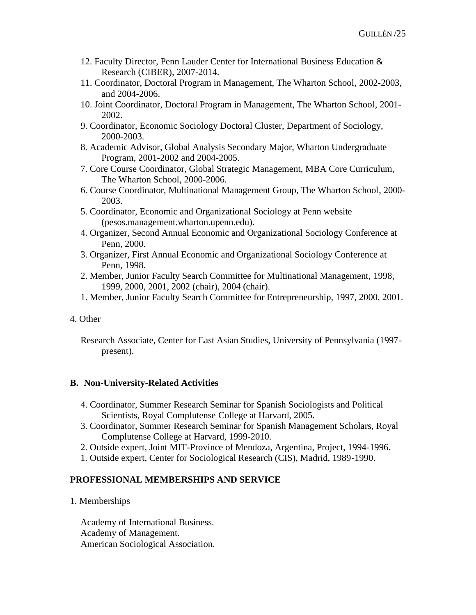- 12. Faculty Director, Penn Lauder Center for International Business Education & Research (CIBER), 2007-2014.
- 11. Coordinator, Doctoral Program in Management, The Wharton School, 2002-2003, and 2004-2006.
- 10. Joint Coordinator, Doctoral Program in Management, The Wharton School, 2001- 2002.
- 9. Coordinator, Economic Sociology Doctoral Cluster, Department of Sociology, 2000-2003.
- 8. Academic Advisor, Global Analysis Secondary Major, Wharton Undergraduate Program, 2001-2002 and 2004-2005.
- 7. Core Course Coordinator, Global Strategic Management, MBA Core Curriculum, The Wharton School, 2000-2006.
- 6. Course Coordinator, Multinational Management Group, The Wharton School, 2000- 2003.
- 5. Coordinator, Economic and Organizational Sociology at Penn website (pesos.management.wharton.upenn.edu).
- 4. Organizer, Second Annual Economic and Organizational Sociology Conference at Penn, 2000.
- 3. Organizer, First Annual Economic and Organizational Sociology Conference at Penn, 1998.
- 2. Member, Junior Faculty Search Committee for Multinational Management, 1998, 1999, 2000, 2001, 2002 (chair), 2004 (chair).
- 1. Member, Junior Faculty Search Committee for Entrepreneurship, 1997, 2000, 2001.

### 4. Other

Research Associate, Center for East Asian Studies, University of Pennsylvania (1997 present).

### **B. Non-University-Related Activities**

- 4. Coordinator, Summer Research Seminar for Spanish Sociologists and Political Scientists, Royal Complutense College at Harvard, 2005.
- 3. Coordinator, Summer Research Seminar for Spanish Management Scholars, Royal Complutense College at Harvard, 1999-2010.
- 2. Outside expert, Joint MIT-Province of Mendoza, Argentina, Project, 1994-1996.
- 1. Outside expert, Center for Sociological Research (CIS), Madrid, 1989-1990.

# **PROFESSIONAL MEMBERSHIPS AND SERVICE**

1. Memberships

Academy of International Business. Academy of Management. American Sociological Association.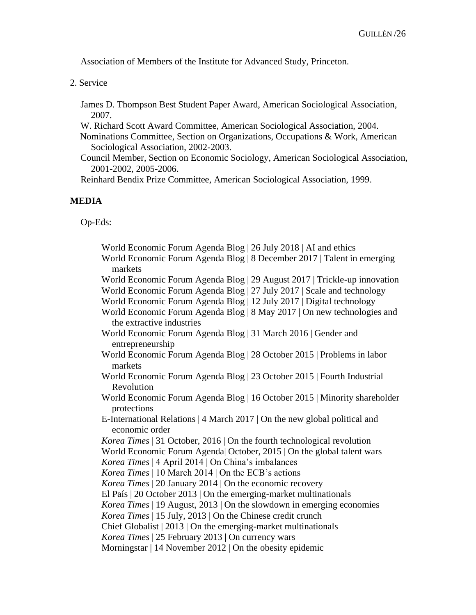Association of Members of the Institute for Advanced Study, Princeton.

2. Service

James D. Thompson Best Student Paper Award, American Sociological Association, 2007.

W. Richard Scott Award Committee, American Sociological Association, 2004.

Nominations Committee, Section on Organizations, Occupations & Work, American Sociological Association, 2002-2003.

Council Member, Section on Economic Sociology, American Sociological Association, 2001-2002, 2005-2006.

Reinhard Bendix Prize Committee, American Sociological Association, 1999.

### **MEDIA**

Op-Eds:

| World Economic Forum Agenda Blog   26 July 2018   AI and ethics                    |
|------------------------------------------------------------------------------------|
| World Economic Forum Agenda Blog   8 December 2017   Talent in emerging<br>markets |
| World Economic Forum Agenda Blog   29 August 2017   Trickle-up innovation          |
| World Economic Forum Agenda Blog   27 July 2017   Scale and technology             |
| World Economic Forum Agenda Blog   12 July 2017   Digital technology               |
| World Economic Forum Agenda Blog   8 May 2017   On new technologies and            |
| the extractive industries                                                          |
| World Economic Forum Agenda Blog   31 March 2016   Gender and<br>entrepreneurship  |
| World Economic Forum Agenda Blog   28 October 2015   Problems in labor<br>markets  |
| World Economic Forum Agenda Blog   23 October 2015   Fourth Industrial             |
| Revolution                                                                         |
| World Economic Forum Agenda Blog   16 October 2015   Minority shareholder          |
| protections                                                                        |
| E-International Relations   4 March 2017   On the new global political and         |
| economic order                                                                     |
| Korea Times   31 October, 2016   On the fourth technological revolution            |
| World Economic Forum Agenda October, 2015   On the global talent wars              |
| Korea Times   4 April 2014   On China's imbalances                                 |
| Korea Times   10 March 2014   On the ECB's actions                                 |
| Korea Times   20 January 2014   On the economic recovery                           |
| El País   20 October 2013   On the emerging-market multinationals                  |
| Korea Times   19 August, 2013   On the slowdown in emerging economies              |
| Korea Times   15 July, 2013   On the Chinese credit crunch                         |
| Chief Globalist   2013   On the emerging-market multinationals                     |
| Korea Times   25 February 2013   On currency wars                                  |
| Morningstar   14 November 2012   On the obesity epidemic                           |
|                                                                                    |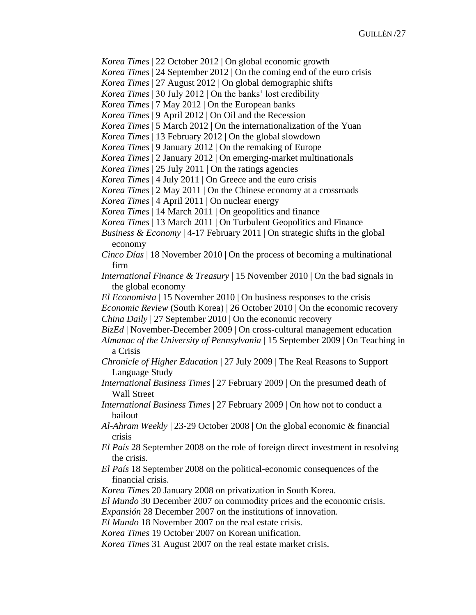*Korea Times* | 22 October 2012 | On global economic growth

*Korea Times* | 24 September 2012 | On the coming end of the euro crisis

*Korea Times* | 27 August 2012 | On global demographic shifts

*Korea Times* | 30 July 2012 | On the banks' lost credibility

*Korea Times* | 7 May 2012 | On the European banks

*Korea Times* | 9 April 2012 | On Oil and the Recession

*Korea Times* | 5 March 2012 | On the internationalization of the Yuan

*Korea Times* | 13 February 2012 | On the global slowdown

*Korea Times* | 9 January 2012 | On the remaking of Europe

*Korea Times* | 2 January 2012 | On emerging-market multinationals

*Korea Times* [| 25 July 2011 | On the ratings agencies](http://www-management.wharton.upenn.edu/guillen/2011_docs/Korea-Times_July-25.pdf)

*Korea Times* [| 4 July 2011 | On Greece and the euro crisis](http://www-management.wharton.upenn.edu/guillen/2011_docs/Korea-Times_July-4.pdf) 

*Korea Times* [| 2 May 2011 | On the Chinese economy at a crossroads](http://www-management.wharton.upenn.edu/guillen/2011_docs/Page-7_opinion.pdf)

*Korea Times* [| 4 April 2011 | On nuclear energy](http://www-management.wharton.upenn.edu/guillen/2011_docs/Nuclear_Energy_April-4.pdf)

*Korea Times* [| 14 March 2011 | On geopolitics and finance](http://www-management.wharton.upenn.edu/guillen/2011_docs/Page-7_opinion_March-14.pdf)

*Korea Times* [| 13 March 2011 | On Turbulent Geopolitics and Finance](http://www-management.wharton.upenn.edu/guillen/2011_docs/KoreaTimes_OpEd_13-March-2011.pdf)

*Business & Economy* [| 4-17 February 2011 | On strategic shifts in the global](http://www-management.wharton.upenn.edu/guillen/2011_docs/Guillen_OntiverosStrategicShifts-2011.pdf)  [economy](http://www-management.wharton.upenn.edu/guillen/2011_docs/Guillen_OntiverosStrategicShifts-2011.pdf) 

*Cinco Días* [| 18 November 2010 | On the process of becoming a multinational](http://www-management.wharton.upenn.edu/guillen/2010-docs/18Na18.pdf)  [firm](http://www-management.wharton.upenn.edu/guillen/2010-docs/18Na18.pdf) 

*International Finance & Treasury* [| 15 November 2010 | On the bad signals in](http://www-management.wharton.upenn.edu/guillen/2010-docs/FT111510_final.pdf)  [the global economy](http://www-management.wharton.upenn.edu/guillen/2010-docs/FT111510_final.pdf)

*El Economista* [| 15 November 2010 | On business responses to the crisis](http://www-management.wharton.upenn.edu/guillen/2010-docs/Mauro-Guillen-El-Economista.pdf) 

*Economic Review* [\(South Korea\) | 26 October 2010 | On the economic recovery](http://www-management.wharton.upenn.edu/guillen/2010-docs/Economic_Review-p8-9_20101018.pdf)  *China Daily* | 27 September 2010 | On the economic recovery

*BizEd* [| November-December 2009 | On cross-cultural management education](http://www-management.wharton.upenn.edu/guillen/2009_docs/Lauder-Institute-BizEd.pdf)

*[Almanac of the University of Pennsylvania](http://www-management.wharton.upenn.edu/guillen/2009_docs/Almanac_Teaching_in_a_Crisis-15_Sept_2009.pdf)* | 15 September 2009 | On Teaching in [a Crisis](http://www-management.wharton.upenn.edu/guillen/2009_docs/Almanac_Teaching_in_a_Crisis-15_Sept_2009.pdf) 

*Chronicle of Higher Education* [| 27 July 2009 | The Real Reasons to Support](http://www-management.wharton.upenn.edu/guillen/2009_docs/CHE_Language_Study-July-2009.pdf)  [Language Study](http://www-management.wharton.upenn.edu/guillen/2009_docs/CHE_Language_Study-July-2009.pdf)

*International Business Times* [| 27 February 2009 | On the presumed death of](http://www-management.wharton.upenn.edu/guillen/2009_docs/Long_Live_Wall_St_OpEd_International_Business_Times.pdf)  [Wall Street](http://www-management.wharton.upenn.edu/guillen/2009_docs/Long_Live_Wall_St_OpEd_International_Business_Times.pdf)

*International Business Times* [| 27 February 2009 | On how not to conduct a](http://www-management.wharton.upenn.edu/guillen/2009_docs/How_Not_Bailout_OpEd-International_Business_Times.pdf)  [bailout](http://www-management.wharton.upenn.edu/guillen/2009_docs/How_Not_Bailout_OpEd-International_Business_Times.pdf)

*Al-Ahram Weekly* [| 23-29 October 2008 | On the global economic & financial](http://www-management.wharton.upenn.edu/guillen/2008_docs/Al-Ahram%20Weekly_Unravelling-the-crisis.pdf)  [crisis](http://www-management.wharton.upenn.edu/guillen/2008_docs/Al-Ahram%20Weekly_Unravelling-the-crisis.pdf)

*El País* [28 September 2008 on the role of foreign direct investment in resolving](http://www-management.wharton.upenn.edu/guillen/2008/NOTAPRENSA20080928A.PDF)  [the crisis.](http://www-management.wharton.upenn.edu/guillen/2008/NOTAPRENSA20080928A.PDF)

*El País* [18 September 2008 on the political-economic consequences of the](http://www-management.wharton.upenn.edu/guillen/2008/El_Pais_Cambio_de_Guardia_18-Sept_2008.pdf)  [financial crisis.](http://www-management.wharton.upenn.edu/guillen/2008/El_Pais_Cambio_de_Guardia_18-Sept_2008.pdf)

*Korea Times* 20 January 2008 on privatization in South Korea.

*El Mundo* 30 December 2007 on commodity prices and the economic crisis.

*Expansión* 28 December 2007 on the institutions of innovation.

*El Mundo* 18 November 2007 on the real estate crisis.

*Korea Times* 19 October 2007 on Korean unification.

*Korea Times* 31 August 2007 on the real estate market crisis.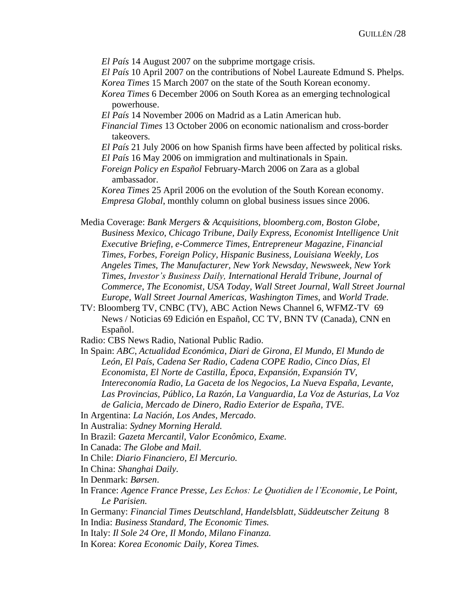*El País* 14 August 2007 on the subprime mortgage crisis.

*El País* 10 April 2007 on the contributions of Nobel Laureate Edmund S. Phelps. *Korea Times* 15 March 2007 on the state of the South Korean economy.

*Korea Times* 6 December 2006 on South Korea as an emerging technological powerhouse.

*El País* 14 November 2006 on Madrid as a Latin American hub.

*Financial Times* 13 October 2006 on economic nationalism and cross-border takeovers.

*El País* 21 July 2006 on how Spanish firms have been affected by political risks.

*El País* 16 May 2006 on immigration and multinationals in Spain.

*Foreign Policy en Español* February-March 2006 on Zara as a global ambassador.

*Korea Times* 25 April 2006 on the evolution of the South Korean economy. *Empresa Global*, monthly column on global business issues since 2006.

Media Coverage: *Bank Mergers & Acquisitions, bloomberg.com, Boston Globe, Business Mexico, Chicago Tribune, Daily Express, Economist Intelligence Unit Executive Briefing, e-Commerce Times, Entrepreneur Magazine, Financial Times, Forbes, Foreign Policy, Hispanic Business, Louisiana Weekly, Los Angeles Times, The Manufacturer, New York Newsday, Newsweek, New York Times, Investor's Business Daily, International Herald Tribune, Journal of Commerce*, *The Economist, USA Today, Wall Street Journal, Wall Street Journal Europe, Wall Street Journal Americas, Washington Times,* and *World Trade.*

TV: Bloomberg TV, CNBC (TV), ABC Action News Channel 6, WFMZ-TV 69 News / Noticias 69 Edición en Español, CC TV, BNN TV (Canada), CNN en Español.

Radio: CBS News Radio, National Public Radio.

In Spain: *ABC*, *Actualidad Económica*, *Diari de Girona, El Mundo*, *El Mundo de León, El País*, *Cadena Ser Radio, Cadena COPE Radio, Cinco Días*, *El Economista, El Norte de Castilla, Época*, *Expansión*, *Expansión TV, Intereconomía Radio, La Gaceta de los Negocios*, *La Nueva España*, *Levante, Las Provincias, Público, La Razón, La Vanguardia*, *La Voz de Asturias, La Voz de Galicia, Mercado de Dinero, Radio Exterior de España, TVE.*

In Argentina: *La Nación, Los Andes, Mercado*.

In Australia: *Sydney Morning Herald.*

In Brazil: *Gazeta Mercantil, Valor Econômico, Exame.*

In Canada: *The Globe and Mail.*

In Chile: *Diario Financiero, El Mercurio.*

In China: *Shanghai Daily.*

In Denmark: *Børsen*.

In France: *Agence France Presse, Les Echos: Le Quotidien de l'Economie, Le Point, Le Parisien.*

In Germany: *Financial Times Deutschland*, *Handelsblatt, [Süddeutscher Zeitung](http://www-management.wharton.upenn.edu/guillen/2008_docs/Sueddeutsche_Zeitung.pdf)* 8 In India: *Business Standard, The Economic Times.*

In Italy: *Il Sole 24 Ore, Il Mondo, Milano Finanza.*

In Korea: *Korea Economic Daily, Korea Times.*